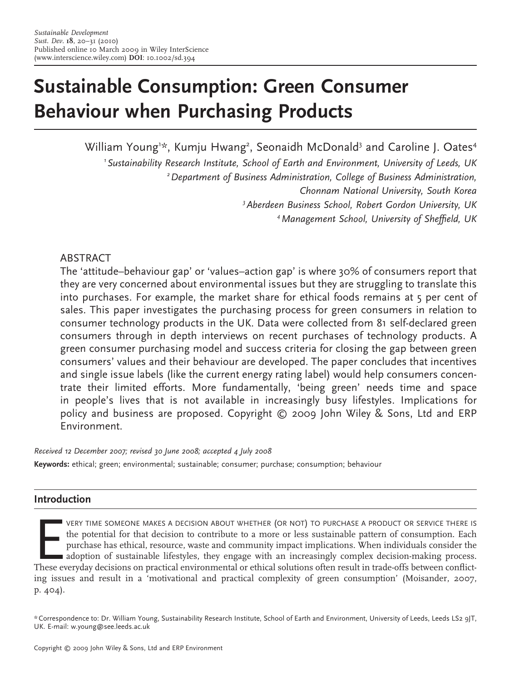# **Sustainable Consumption: Green Consumer Behaviour when Purchasing Products**

William Young'\*, Kumju Hwang<sup>2</sup>, Seonaidh McDonald<sup>3</sup> and Caroline J. Oates<sup>4</sup> *1 Sustainability Research Institute, School of Earth and Environment, University of Leeds, UK* <sup>2</sup> Department of Business Administration, College of Business Administration, *Chonnam National University, South Korea 3 Aberdeen Business School, Robert Gordon University, UK 4 Management School, University of Sheffi eld, UK*

# ABSTRACT

The 'attitude–behaviour gap' or 'values–action gap' is where 30% of consumers report that they are very concerned about environmental issues but they are struggling to translate this into purchases. For example, the market share for ethical foods remains at 5 per cent of sales. This paper investigates the purchasing process for green consumers in relation to consumer technology products in the UK. Data were collected from 81 self-declared green consumers through in depth interviews on recent purchases of technology products. A green consumer purchasing model and success criteria for closing the gap between green consumers' values and their behaviour are developed. The paper concludes that incentives and single issue labels (like the current energy rating label) would help consumers concentrate their limited efforts. More fundamentally, 'being green' needs time and space in people's lives that is not available in increasingly busy lifestyles. Implications for policy and business are proposed. Copyright © 2009 John Wiley & Sons, Ltd and ERP Environment.

*Received 12 December 2007; revised 30 June 2008; accepted 4 July 2008* **Keywords:** ethical; green; environmental; sustainable; consumer; purchase; consumption; behaviour

### **Introduction**

VERY TIME SOMEONE MAKES A DECISION ABOUT WHETHER (OR NOT) TO PURCHASE A PRODUCT OR SERVICE THERE IS<br>the potential for that decision to contribute to a more or less sustainable pattern of consumption. Each<br>purchase has ethi VERY TIME SOMEONE MAKES A DECISION ABOUT WHETHER (OR NOT) TO PURCHASE A PRODUCT OR SERVICE THERE IS the potential for that decision to contribute to a more or less sustainable pattern of consumption. Each purchase has ethical, resource, waste and community impact implications. When individuals consider the **a** adoption of sustainable lifestyles, they engage with an increasingly complex decision-making process. ing issues and result in a 'motivational and practical complexity of green consumption' (Moisander, 2007, p. 404).

\* Correspondence to: Dr. William Young, Sustainability Research Institute, School of Earth and Environment, University of Leeds, Leeds LS2 9JT, UK. E-mail: w.young@see.leeds.ac.uk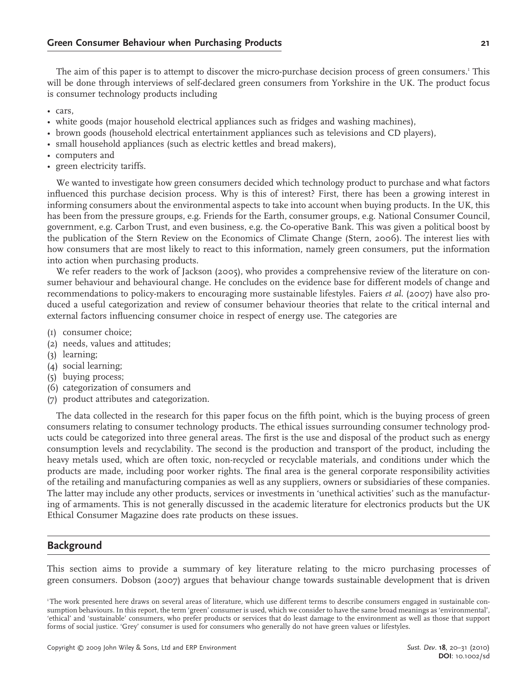The aim of this paper is to attempt to discover the micro-purchase decision process of green consumers.<sup>1</sup> This will be done through interviews of self-declared green consumers from Yorkshire in the UK. The product focus is consumer technology products including

- cars,
- white goods (major household electrical appliances such as fridges and washing machines),
- brown goods (household electrical entertainment appliances such as televisions and CD players),
- small household appliances (such as electric kettles and bread makers),
- computers and
- green electricity tariffs.

We wanted to investigate how green consumers decided which technology product to purchase and what factors influenced this purchase decision process. Why is this of interest? First, there has been a growing interest in informing consumers about the environmental aspects to take into account when buying products. In the UK, this has been from the pressure groups, e.g. Friends for the Earth, consumer groups, e.g. National Consumer Council, government, e.g. Carbon Trust, and even business, e.g. the Co-operative Bank. This was given a political boost by the publication of the Stern Review on the Economics of Climate Change (Stern, 2006). The interest lies with how consumers that are most likely to react to this information, namely green consumers, put the information into action when purchasing products.

We refer readers to the work of Jackson (2005), who provides a comprehensive review of the literature on consumer behaviour and behavioural change. He concludes on the evidence base for different models of change and recommendations to policy-makers to encouraging more sustainable lifestyles. Faiers *et al.* (2007) have also produced a useful categorization and review of consumer behaviour theories that relate to the critical internal and external factors influencing consumer choice in respect of energy use. The categories are

- (1) consumer choice;
- (2) needs, values and attitudes;
- (3) learning;
- (4) social learning;
- (5) buying process;
- (6) categorization of consumers and
- (7) product attributes and categorization.

The data collected in the research for this paper focus on the fifth point, which is the buying process of green consumers relating to consumer technology products. The ethical issues surrounding consumer technology products could be categorized into three general areas. The first is the use and disposal of the product such as energy consumption levels and recyclability. The second is the production and transport of the product, including the heavy metals used, which are often toxic, non-recycled or recyclable materials, and conditions under which the products are made, including poor worker rights. The final area is the general corporate responsibility activities of the retailing and manufacturing companies as well as any suppliers, owners or subsidiaries of these companies. The latter may include any other products, services or investments in 'unethical activities' such as the manufacturing of armaments. This is not generally discussed in the academic literature for electronics products but the UK Ethical Consumer Magazine does rate products on these issues.

## **Background**

This section aims to provide a summary of key literature relating to the micro purchasing processes of green consumers. Dobson (2007) argues that behaviour change towards sustainable development that is driven

<sup>1</sup> The work presented here draws on several areas of literature, which use different terms to describe consumers engaged in sustainable consumption behaviours. In this report, the term 'green' consumer is used, which we consider to have the same broad meanings as 'environmental', 'ethical' and 'sustainable' consumers, who prefer products or services that do least damage to the environment as well as those that support forms of social justice. 'Grey' consumer is used for consumers who generally do not have green values or lifestyles.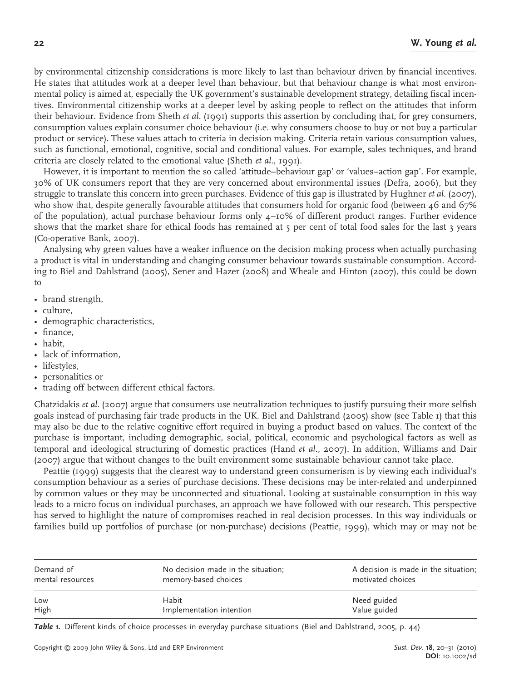by environmental citizenship considerations is more likely to last than behaviour driven by financial incentives. He states that attitudes work at a deeper level than behaviour, but that behaviour change is what most environmental policy is aimed at, especially the UK government's sustainable development strategy, detailing fiscal incentives. Environmental citizenship works at a deeper level by asking people to reflect on the attitudes that inform their behaviour. Evidence from Sheth *et al.* (1991) supports this assertion by concluding that, for grey consumers, consumption values explain consumer choice behaviour (i.e. why consumers choose to buy or not buy a particular product or service). These values attach to criteria in decision making. Criteria retain various consumption values, such as functional, emotional, cognitive, social and conditional values. For example, sales techniques, and brand criteria are closely related to the emotional value (Sheth *et al.*, 1991).

However, it is important to mention the so called 'attitude–behaviour gap' or 'values–action gap'. For example, 30% of UK consumers report that they are very concerned about environmental issues (Defra, 2006), but they struggle to translate this concern into green purchases. Evidence of this gap is illustrated by Hughner *et al.* (2007), who show that, despite generally favourable attitudes that consumers hold for organic food (between 46 and 67% of the population), actual purchase behaviour forms only 4–10% of different product ranges. Further evidence shows that the market share for ethical foods has remained at 5 per cent of total food sales for the last 3 years (Co-operative Bank, 2007).

Analysing why green values have a weaker influence on the decision making process when actually purchasing a product is vital in understanding and changing consumer behaviour towards sustainable consumption. According to Biel and Dahlstrand (2005), Sener and Hazer (2008) and Wheale and Hinton (2007), this could be down to

- brand strength,
- culture,
- demographic characteristics,
- finance.
- habit,
- lack of information,
- lifestyles,
- personalities or
- trading off between different ethical factors.

Chatzidakis *et al.* (2007) argue that consumers use neutralization techniques to justify pursuing their more selfish goals instead of purchasing fair trade products in the UK. Biel and Dahlstrand (2005) show (see Table 1) that this may also be due to the relative cognitive effort required in buying a product based on values. The context of the purchase is important, including demographic, social, political, economic and psychological factors as well as temporal and ideological structuring of domestic practices (Hand *et al.*, 2007). In addition, Williams and Dair (2007) argue that without changes to the built environment some sustainable behaviour cannot take place.

Peattie (1999) suggests that the clearest way to understand green consumerism is by viewing each individual's consumption behaviour as a series of purchase decisions. These decisions may be inter-related and underpinned by common values or they may be unconnected and situational. Looking at sustainable consumption in this way leads to a micro focus on individual purchases, an approach we have followed with our research. This perspective has served to highlight the nature of compromises reached in real decision processes. In this way individuals or families build up portfolios of purchase (or non-purchase) decisions (Peattie, 1999), which may or may not be

| Demand of        | No decision made in the situation; | A decision is made in the situation; |
|------------------|------------------------------------|--------------------------------------|
| mental resources | memory-based choices               | motivated choices                    |
| Low              | Habit                              | Need guided                          |
| High             | Implementation intention           | Value guided                         |

*Table 1.* Different kinds of choice processes in everyday purchase situations (Biel and Dahlstrand, 2005, p. 44)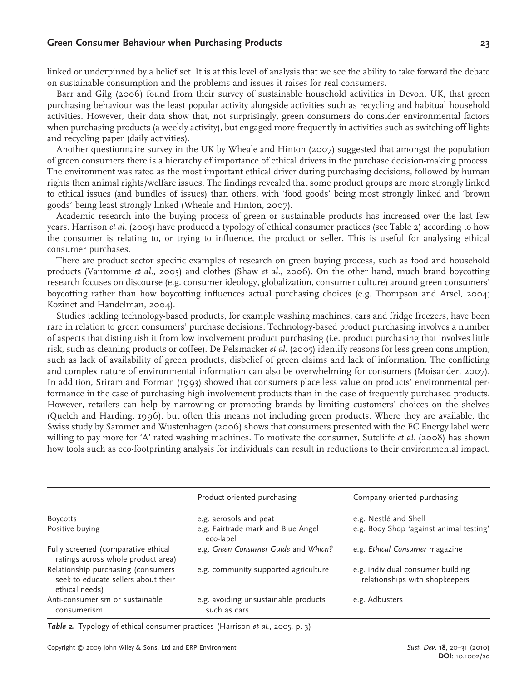#### **Green Consumer Behaviour when Purchasing Products 23**

linked or underpinned by a belief set. It is at this level of analysis that we see the ability to take forward the debate on sustainable consumption and the problems and issues it raises for real consumers.

Barr and Gilg (2006) found from their survey of sustainable household activities in Devon, UK, that green purchasing behaviour was the least popular activity alongside activities such as recycling and habitual household activities. However, their data show that, not surprisingly, green consumers do consider environmental factors when purchasing products (a weekly activity), but engaged more frequently in activities such as switching off lights and recycling paper (daily activities).

Another questionnaire survey in the UK by Wheale and Hinton (2007) suggested that amongst the population of green consumers there is a hierarchy of importance of ethical drivers in the purchase decision-making process. The environment was rated as the most important ethical driver during purchasing decisions, followed by human rights then animal rights/welfare issues. The findings revealed that some product groups are more strongly linked to ethical issues (and bundles of issues) than others, with 'food goods' being most strongly linked and 'brown goods' being least strongly linked (Wheale and Hinton, 2007).

Academic research into the buying process of green or sustainable products has increased over the last few years. Harrison *et al.* (2005) have produced a typology of ethical consumer practices (see Table 2) according to how the consumer is relating to, or trying to influence, the product or seller. This is useful for analysing ethical consumer purchases.

There are product sector specific examples of research on green buying process, such as food and household products (Vantomme *et al.*, 2005) and clothes (Shaw *et al.*, 2006). On the other hand, much brand boycotting research focuses on discourse (e.g. consumer ideology, globalization, consumer culture) around green consumers' boycotting rather than how boycotting influences actual purchasing choices (e.g. Thompson and Arsel, 2004; Kozinet and Handelman, 2004).

Studies tackling technology-based products, for example washing machines, cars and fridge freezers, have been rare in relation to green consumers' purchase decisions. Technology-based product purchasing involves a number of aspects that distinguish it from low involvement product purchasing (i.e. product purchasing that involves little risk, such as cleaning products or coffee). De Pelsmacker *et al.* (2005) identify reasons for less green consumption, such as lack of availability of green products, disbelief of green claims and lack of information. The conflicting and complex nature of environmental information can also be overwhelming for consumers (Moisander, 2007). In addition, Sriram and Forman (1993) showed that consumers place less value on products' environmental performance in the case of purchasing high involvement products than in the case of frequently purchased products. However, retailers can help by narrowing or promoting brands by limiting customers' choices on the shelves (Quelch and Harding, 1996), but often this means not including green products. Where they are available, the Swiss study by Sammer and Wüstenhagen (2006) shows that consumers presented with the EC Energy label were willing to pay more for 'A' rated washing machines. To motivate the consumer, Sutcliffe *et al.* (2008) has shown how tools such as eco-footprinting analysis for individuals can result in reductions to their environmental impact.

|                                                                                             | Product-oriented purchasing                          | Company-oriented purchasing                                         |
|---------------------------------------------------------------------------------------------|------------------------------------------------------|---------------------------------------------------------------------|
| Boycotts                                                                                    | e.g. aerosols and peat                               | e.g. Nestlé and Shell                                               |
| Positive buying                                                                             | e.g. Fairtrade mark and Blue Angel<br>eco-label      | e.g. Body Shop 'against animal testing'                             |
| Fully screened (comparative ethical<br>ratings across whole product area)                   | e.g. Green Consumer Guide and Which?                 | e.g. Ethical Consumer magazine                                      |
| Relationship purchasing (consumers<br>seek to educate sellers about their<br>ethical needs) | e.g. community supported agriculture                 | e.g. individual consumer building<br>relationships with shopkeepers |
| Anti-consumerism or sustainable<br>consumerism                                              | e.g. avoiding unsustainable products<br>such as cars | e.g. Adbusters                                                      |

*Table 2.* Typology of ethical consumer practices (Harrison *et al.*, 2005, p. 3)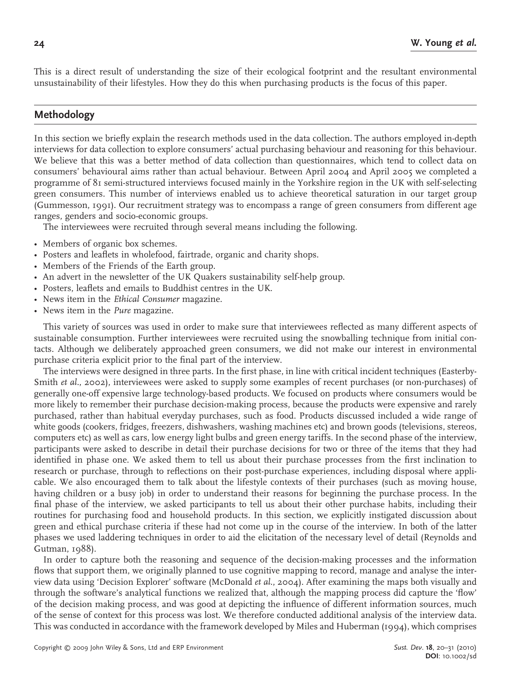This is a direct result of understanding the size of their ecological footprint and the resultant environmental unsustainability of their lifestyles. How they do this when purchasing products is the focus of this paper.

## **Methodology**

In this section we briefly explain the research methods used in the data collection. The authors employed in-depth interviews for data collection to explore consumers' actual purchasing behaviour and reasoning for this behaviour. We believe that this was a better method of data collection than questionnaires, which tend to collect data on consumers' behavioural aims rather than actual behaviour. Between April 2004 and April 2005 we completed a programme of 81 semi-structured interviews focused mainly in the Yorkshire region in the UK with self-selecting green consumers. This number of interviews enabled us to achieve theoretical saturation in our target group (Gummesson, 1991). Our recruitment strategy was to encompass a range of green consumers from different age ranges, genders and socio-economic groups.

The interviewees were recruited through several means including the following.

- Members of organic box schemes.
- Posters and leaflets in wholefood, fairtrade, organic and charity shops.
- Members of the Friends of the Earth group.
- An advert in the newsletter of the UK Quakers sustainability self-help group.
- Posters, leaflets and emails to Buddhist centres in the UK.
- News item in the *Ethical Consumer* magazine.
- News item in the *Pure* magazine.

This variety of sources was used in order to make sure that interviewees reflected as many different aspects of sustainable consumption. Further interviewees were recruited using the snowballing technique from initial contacts. Although we deliberately approached green consumers, we did not make our interest in environmental purchase criteria explicit prior to the final part of the interview.

The interviews were designed in three parts. In the first phase, in line with critical incident techniques (Easterby-Smith *et al.*, 2002), interviewees were asked to supply some examples of recent purchases (or non-purchases) of generally one-off expensive large technology-based products. We focused on products where consumers would be more likely to remember their purchase decision-making process, because the products were expensive and rarely purchased, rather than habitual everyday purchases, such as food. Products discussed included a wide range of white goods (cookers, fridges, freezers, dishwashers, washing machines etc) and brown goods (televisions, stereos, computers etc) as well as cars, low energy light bulbs and green energy tariffs. In the second phase of the interview, participants were asked to describe in detail their purchase decisions for two or three of the items that they had identified in phase one. We asked them to tell us about their purchase processes from the first inclination to research or purchase, through to reflections on their post-purchase experiences, including disposal where applicable. We also encouraged them to talk about the lifestyle contexts of their purchases (such as moving house, having children or a busy job) in order to understand their reasons for beginning the purchase process. In the final phase of the interview, we asked participants to tell us about their other purchase habits, including their routines for purchasing food and household products. In this section, we explicitly instigated discussion about green and ethical purchase criteria if these had not come up in the course of the interview. In both of the latter phases we used laddering techniques in order to aid the elicitation of the necessary level of detail (Reynolds and Gutman, 1988).

In order to capture both the reasoning and sequence of the decision-making processes and the information flows that support them, we originally planned to use cognitive mapping to record, manage and analyse the interview data using 'Decision Explorer' software (McDonald *et al.*, 2004). After examining the maps both visually and through the software's analytical functions we realized that, although the mapping process did capture the 'flow' of the decision making process, and was good at depicting the influence of different information sources, much of the sense of context for this process was lost. We therefore conducted additional analysis of the interview data. This was conducted in accordance with the framework developed by Miles and Huberman (1994), which comprises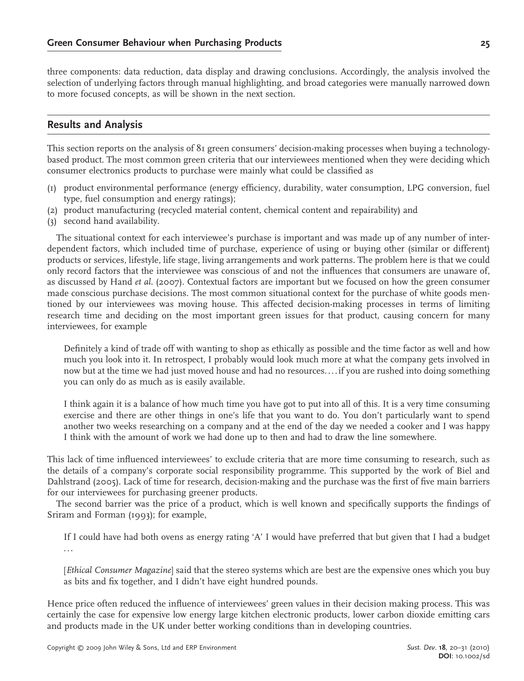three components: data reduction, data display and drawing conclusions. Accordingly, the analysis involved the selection of underlying factors through manual highlighting, and broad categories were manually narrowed down to more focused concepts, as will be shown in the next section.

## **Results and Analysis**

This section reports on the analysis of 81 green consumers' decision-making processes when buying a technologybased product. The most common green criteria that our interviewees mentioned when they were deciding which consumer electronics products to purchase were mainly what could be classified as

- (1) product environmental performance (energy efficiency, durability, water consumption, LPG conversion, fuel type, fuel consumption and energy ratings);
- (2) product manufacturing (recycled material content, chemical content and repairability) and
- (3) second hand availability.

The situational context for each interviewee's purchase is important and was made up of any number of interdependent factors, which included time of purchase, experience of using or buying other (similar or different) products or services, lifestyle, life stage, living arrangements and work patterns. The problem here is that we could only record factors that the interviewee was conscious of and not the influences that consumers are unaware of, as discussed by Hand *et al.* (2007). Contextual factors are important but we focused on how the green consumer made conscious purchase decisions. The most common situational context for the purchase of white goods mentioned by our interviewees was moving house. This affected decision-making processes in terms of limiting research time and deciding on the most important green issues for that product, causing concern for many interviewees, for example

Definitely a kind of trade off with wanting to shop as ethically as possible and the time factor as well and how much you look into it. In retrospect, I probably would look much more at what the company gets involved in now but at the time we had just moved house and had no resources. . . . if you are rushed into doing something you can only do as much as is easily available.

I think again it is a balance of how much time you have got to put into all of this. It is a very time consuming exercise and there are other things in one's life that you want to do. You don't particularly want to spend another two weeks researching on a company and at the end of the day we needed a cooker and I was happy I think with the amount of work we had done up to then and had to draw the line somewhere.

This lack of time influenced interviewees' to exclude criteria that are more time consuming to research, such as the details of a company's corporate social responsibility programme. This supported by the work of Biel and Dahlstrand (2005). Lack of time for research, decision-making and the purchase was the first of five main barriers for our interviewees for purchasing greener products.

The second barrier was the price of a product, which is well known and specifically supports the findings of Sriram and Forman (1993); for example,

If I could have had both ovens as energy rating 'A' I would have preferred that but given that I had a budget . . .

[*Ethical Consumer Magazine*] said that the stereo systems which are best are the expensive ones which you buy as bits and fix together, and I didn't have eight hundred pounds.

Hence price often reduced the influence of interviewees' green values in their decision making process. This was certainly the case for expensive low energy large kitchen electronic products, lower carbon dioxide emitting cars and products made in the UK under better working conditions than in developing countries.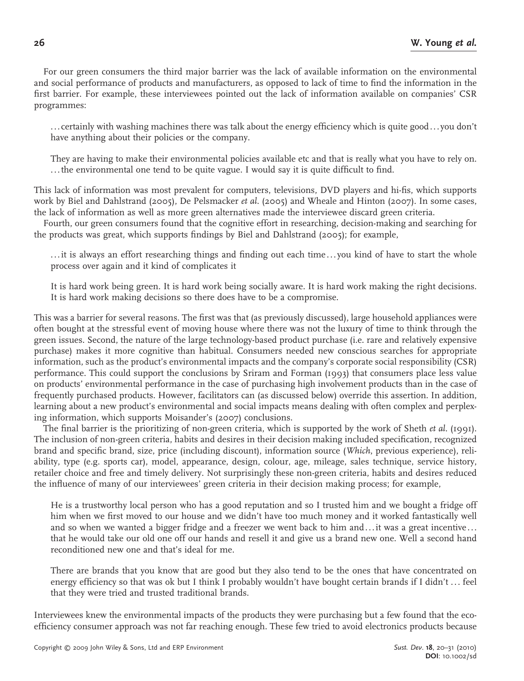For our green consumers the third major barrier was the lack of available information on the environmental and social performance of products and manufacturers, as opposed to lack of time to find the information in the first barrier. For example, these interviewees pointed out the lack of information available on companies' CSR programmes:

... certainly with washing machines there was talk about the energy efficiency which is quite good ... you don't have anything about their policies or the company.

They are having to make their environmental policies available etc and that is really what you have to rely on. ... the environmental one tend to be quite vague. I would say it is quite difficult to find.

This lack of information was most prevalent for computers, televisions, DVD players and hi-fis, which supports work by Biel and Dahlstrand (2005), De Pelsmacker *et al.* (2005) and Wheale and Hinton (2007). In some cases, the lack of information as well as more green alternatives made the interviewee discard green criteria.

Fourth, our green consumers found that the cognitive effort in researching, decision-making and searching for the products was great, which supports findings by Biel and Dahlstrand (2005); for example,

...it is always an effort researching things and finding out each time...you kind of have to start the whole process over again and it kind of complicates it

It is hard work being green. It is hard work being socially aware. It is hard work making the right decisions. It is hard work making decisions so there does have to be a compromise.

This was a barrier for several reasons. The first was that (as previously discussed), large household appliances were often bought at the stressful event of moving house where there was not the luxury of time to think through the green issues. Second, the nature of the large technology-based product purchase (i.e. rare and relatively expensive purchase) makes it more cognitive than habitual. Consumers needed new conscious searches for appropriate information, such as the product's environmental impacts and the company's corporate social responsibility (CSR) performance. This could support the conclusions by Sriram and Forman (1993) that consumers place less value on products' environmental performance in the case of purchasing high involvement products than in the case of frequently purchased products. However, facilitators can (as discussed below) override this assertion. In addition, learning about a new product's environmental and social impacts means dealing with often complex and perplexing information, which supports Moisander's (2007) conclusions.

The final barrier is the prioritizing of non-green criteria, which is supported by the work of Sheth *et al.* (1991). The inclusion of non-green criteria, habits and desires in their decision making included specification, recognized brand and specifi c brand, size, price (including discount), information source (*Which*, previous experience), reliability, type (e.g. sports car), model, appearance, design, colour, age, mileage, sales technique, service history, retailer choice and free and timely delivery. Not surprisingly these non-green criteria, habits and desires reduced the influence of many of our interviewees' green criteria in their decision making process; for example,

He is a trustworthy local person who has a good reputation and so I trusted him and we bought a fridge off him when we first moved to our house and we didn't have too much money and it worked fantastically well and so when we wanted a bigger fridge and a freezer we went back to him and . . . it was a great incentive . . . that he would take our old one off our hands and resell it and give us a brand new one. Well a second hand reconditioned new one and that's ideal for me.

There are brands that you know that are good but they also tend to be the ones that have concentrated on energy efficiency so that was ok but I think I probably wouldn't have bought certain brands if I didn't ... feel that they were tried and trusted traditional brands.

Interviewees knew the environmental impacts of the products they were purchasing but a few found that the ecoefficiency consumer approach was not far reaching enough. These few tried to avoid electronics products because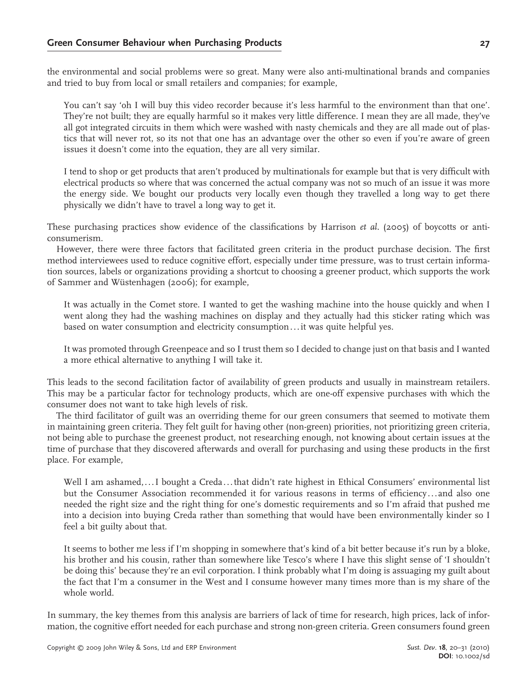the environmental and social problems were so great. Many were also anti-multinational brands and companies and tried to buy from local or small retailers and companies; for example,

You can't say 'oh I will buy this video recorder because it's less harmful to the environment than that one'. They're not built; they are equally harmful so it makes very little difference. I mean they are all made, they've all got integrated circuits in them which were washed with nasty chemicals and they are all made out of plastics that will never rot, so its not that one has an advantage over the other so even if you're aware of green issues it doesn't come into the equation, they are all very similar.

I tend to shop or get products that aren't produced by multinationals for example but that is very difficult with electrical products so where that was concerned the actual company was not so much of an issue it was more the energy side. We bought our products very locally even though they travelled a long way to get there physically we didn't have to travel a long way to get it.

These purchasing practices show evidence of the classifications by Harrison  $et$   $al$ . (2005) of boycotts or anticonsumerism.

However, there were three factors that facilitated green criteria in the product purchase decision. The first method interviewees used to reduce cognitive effort, especially under time pressure, was to trust certain information sources, labels or organizations providing a shortcut to choosing a greener product, which supports the work of Sammer and Wüstenhagen (2006); for example,

It was actually in the Comet store. I wanted to get the washing machine into the house quickly and when I went along they had the washing machines on display and they actually had this sticker rating which was based on water consumption and electricity consumption . . . it was quite helpful yes.

It was promoted through Greenpeace and so I trust them so I decided to change just on that basis and I wanted a more ethical alternative to anything I will take it.

This leads to the second facilitation factor of availability of green products and usually in mainstream retailers. This may be a particular factor for technology products, which are one-off expensive purchases with which the consumer does not want to take high levels of risk.

The third facilitator of guilt was an overriding theme for our green consumers that seemed to motivate them in maintaining green criteria. They felt guilt for having other (non-green) priorities, not prioritizing green criteria, not being able to purchase the greenest product, not researching enough, not knowing about certain issues at the time of purchase that they discovered afterwards and overall for purchasing and using these products in the first place. For example,

Well I am ashamed, ... I bought a Creda...that didn't rate highest in Ethical Consumers' environmental list but the Consumer Association recommended it for various reasons in terms of efficiency...and also one needed the right size and the right thing for one's domestic requirements and so I'm afraid that pushed me into a decision into buying Creda rather than something that would have been environmentally kinder so I feel a bit guilty about that.

It seems to bother me less if I'm shopping in somewhere that's kind of a bit better because it's run by a bloke, his brother and his cousin, rather than somewhere like Tesco's where I have this slight sense of 'I shouldn't be doing this' because they're an evil corporation. I think probably what I'm doing is assuaging my guilt about the fact that I'm a consumer in the West and I consume however many times more than is my share of the whole world.

In summary, the key themes from this analysis are barriers of lack of time for research, high prices, lack of information, the cognitive effort needed for each purchase and strong non-green criteria. Green consumers found green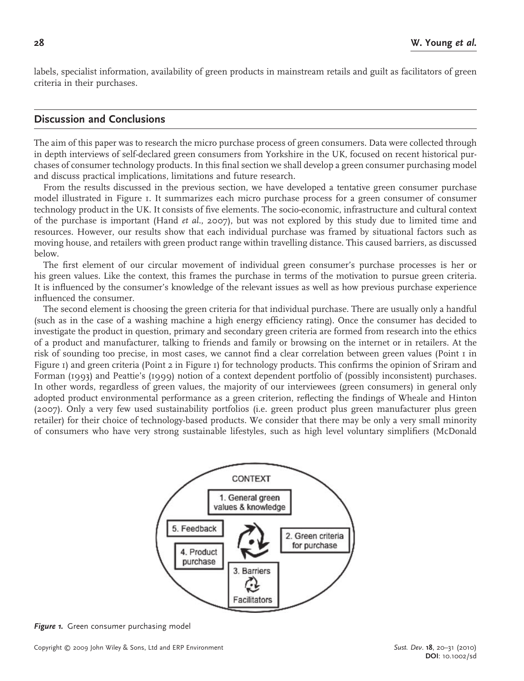labels, specialist information, availability of green products in mainstream retails and guilt as facilitators of green criteria in their purchases.

#### **Discussion and Conclusions**

The aim of this paper was to research the micro purchase process of green consumers. Data were collected through in depth interviews of self-declared green consumers from Yorkshire in the UK, focused on recent historical purchases of consumer technology products. In this final section we shall develop a green consumer purchasing model and discuss practical implications, limitations and future research.

From the results discussed in the previous section, we have developed a tentative green consumer purchase model illustrated in Figure 1. It summarizes each micro purchase process for a green consumer of consumer technology product in the UK. It consists of five elements. The socio-economic, infrastructure and cultural context of the purchase is important (Hand *et al.*, 2007), but was not explored by this study due to limited time and resources. However, our results show that each individual purchase was framed by situational factors such as moving house, and retailers with green product range within travelling distance. This caused barriers, as discussed below.

The first element of our circular movement of individual green consumer's purchase processes is her or his green values. Like the context, this frames the purchase in terms of the motivation to pursue green criteria. It is influenced by the consumer's knowledge of the relevant issues as well as how previous purchase experience influenced the consumer.

The second element is choosing the green criteria for that individual purchase. There are usually only a handful (such as in the case of a washing machine a high energy efficiency rating). Once the consumer has decided to investigate the product in question, primary and secondary green criteria are formed from research into the ethics of a product and manufacturer, talking to friends and family or browsing on the internet or in retailers. At the risk of sounding too precise, in most cases, we cannot find a clear correlation between green values (Point I in Figure 1) and green criteria (Point 2 in Figure 1) for technology products. This confirms the opinion of Sriram and Forman (1993) and Peattie's (1999) notion of a context dependent portfolio of (possibly inconsistent) purchases. In other words, regardless of green values, the majority of our interviewees (green consumers) in general only adopted product environmental performance as a green criterion, reflecting the findings of Wheale and Hinton (2007). Only a very few used sustainability portfolios (i.e. green product plus green manufacturer plus green retailer) for their choice of technology-based products. We consider that there may be only a very small minority of consumers who have very strong sustainable lifestyles, such as high level voluntary simplifiers (McDonald



**Figure 1.** Green consumer purchasing model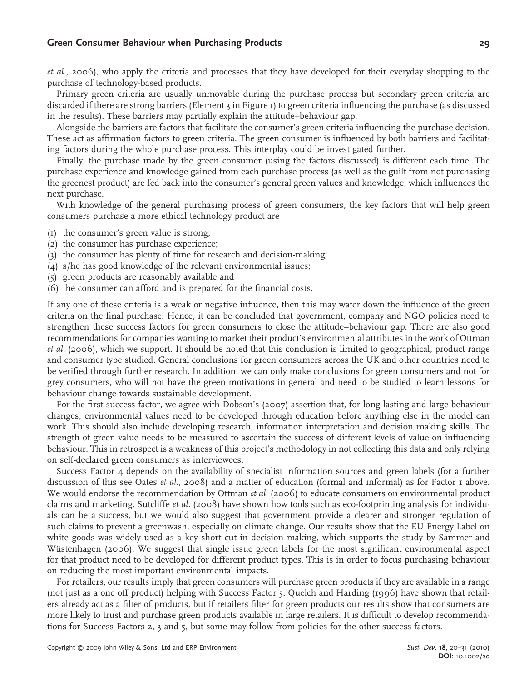#### **Green Consumer Behaviour when Purchasing Products 29**

*et al.*, 2006), who apply the criteria and processes that they have developed for their everyday shopping to the purchase of technology-based products.

Primary green criteria are usually unmovable during the purchase process but secondary green criteria are discarded if there are strong barriers (Element 3 in Figure 1) to green criteria influencing the purchase (as discussed in the results). These barriers may partially explain the attitude–behaviour gap.

Alongside the barriers are factors that facilitate the consumer's green criteria influencing the purchase decision. These act as affirmation factors to green criteria. The green consumer is influenced by both barriers and facilitating factors during the whole purchase process. This interplay could be investigated further.

Finally, the purchase made by the green consumer (using the factors discussed) is different each time. The purchase experience and knowledge gained from each purchase process (as well as the guilt from not purchasing the greenest product) are fed back into the consumer's general green values and knowledge, which influences the next purchase.

With knowledge of the general purchasing process of green consumers, the key factors that will help green consumers purchase a more ethical technology product are

- (1) the consumer's green value is strong;
- (2) the consumer has purchase experience;
- (3) the consumer has plenty of time for research and decision-making;
- (4) s/he has good knowledge of the relevant environmental issues;
- (5) green products are reasonably available and
- $(6)$  the consumer can afford and is prepared for the financial costs.

If any one of these criteria is a weak or negative influence, then this may water down the influence of the green criteria on the final purchase. Hence, it can be concluded that government, company and NGO policies need to strengthen these success factors for green consumers to close the attitude–behaviour gap. There are also good recommendations for companies wanting to market their product's environmental attributes in the work of Ottman *et al.* (2006), which we support. It should be noted that this conclusion is limited to geographical, product range and consumer type studied. General conclusions for green consumers across the UK and other countries need to be verified through further research. In addition, we can only make conclusions for green consumers and not for grey consumers, who will not have the green motivations in general and need to be studied to learn lessons for behaviour change towards sustainable development.

For the first success factor, we agree with Dobson's (2007) assertion that, for long lasting and large behaviour changes, environmental values need to be developed through education before anything else in the model can work. This should also include developing research, information interpretation and decision making skills. The strength of green value needs to be measured to ascertain the success of different levels of value on influencing behaviour. This in retrospect is a weakness of this project's methodology in not collecting this data and only relying on self-declared green consumers as interviewees.

Success Factor 4 depends on the availability of specialist information sources and green labels (for a further discussion of this see Oates *et al.*, 2008) and a matter of education (formal and informal) as for Factor I above. We would endorse the recommendation by Ottman *et al.* (2006) to educate consumers on environmental product claims and marketing. Sutcliffe *et al.* (2008) have shown how tools such as eco-footprinting analysis for individuals can be a success, but we would also suggest that government provide a clearer and stronger regulation of such claims to prevent a greenwash, especially on climate change. Our results show that the EU Energy Label on white goods was widely used as a key short cut in decision making, which supports the study by Sammer and Wüstenhagen (2006). We suggest that single issue green labels for the most significant environmental aspect for that product need to be developed for different product types. This is in order to focus purchasing behaviour on reducing the most important environmental impacts.

For retailers, our results imply that green consumers will purchase green products if they are available in a range (not just as a one off product) helping with Success Factor 5. Quelch and Harding (1996) have shown that retailers already act as a filter of products, but if retailers filter for green products our results show that consumers are more likely to trust and purchase green products available in large retailers. It is difficult to develop recommendations for Success Factors 2, 3 and 5, but some may follow from policies for the other success factors.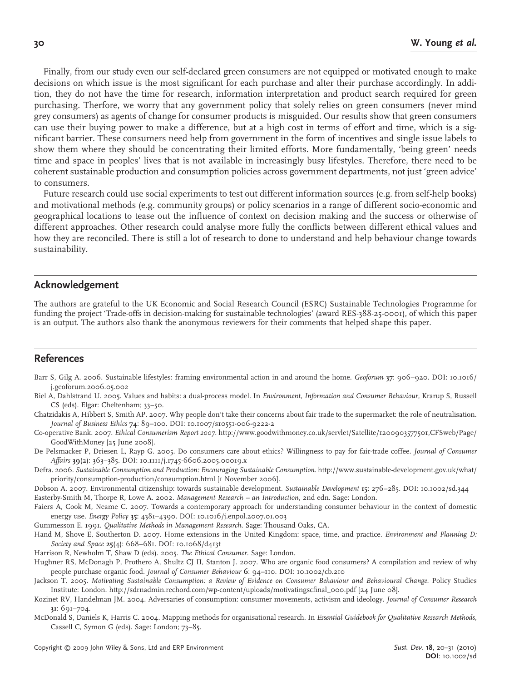Finally, from our study even our self-declared green consumers are not equipped or motivated enough to make decisions on which issue is the most significant for each purchase and alter their purchase accordingly. In addition, they do not have the time for research, information interpretation and product search required for green purchasing. Therfore, we worry that any government policy that solely relies on green consumers (never mind grey consumers) as agents of change for consumer products is misguided. Our results show that green consumers can use their buying power to make a difference, but at a high cost in terms of effort and time, which is a significant barrier. These consumers need help from government in the form of incentives and single issue labels to show them where they should be concentrating their limited efforts. More fundamentally, 'being green' needs time and space in peoples' lives that is not available in increasingly busy lifestyles. Therefore, there need to be coherent sustainable production and consumption policies across government departments, not just 'green advice' to consumers.

Future research could use social experiments to test out different information sources (e.g. from self-help books) and motivational methods (e.g. community groups) or policy scenarios in a range of different socio-economic and geographical locations to tease out the influence of context on decision making and the success or otherwise of different approaches. Other research could analyse more fully the conflicts between different ethical values and how they are reconciled. There is still a lot of research to done to understand and help behaviour change towards sustainability.

## **Acknowledgement**

The authors are grateful to the UK Economic and Social Research Council (ESRC) Sustainable Technologies Programme for funding the project 'Trade-offs in decision-making for sustainable technologies' (award RES-388-25-0001), of which this paper is an output. The authors also thank the anonymous reviewers for their comments that helped shape this paper.

#### **References**

- Barr S, Gilg A. 2006. Sustainable lifestyles: framing environmental action in and around the home. *Geoforum* **37**: 906–920. DOI: 10.1016/ j.geoforum.2006.05.002
- Biel A, Dahlstrand U. 2005. Values and habits: a dual-process model. In *Environment, Information and Consumer Behaviour*, Krarup S, Russell CS (eds). Elgar: Cheltenham; 33–50.
- Chatzidakis A, Hibbert S, Smith AP. 2007. Why people don't take their concerns about fair trade to the supermarket: the role of neutralisation. *Journal of Business Ethics* **74**: 89–100. DOI: 10.1007/s10551-006-9222-2
- Co-operative Bank. 2007. *Ethical Consumerism Report 2007*. http://www.goodwithmoney.co.uk/servlet/Satellite/1200903577501,CFSweb/Page/ GoodWithMoney [25 June 2008].
- De Pelsmacker P, Driesen L, Rayp G. 2005. Do consumers care about ethics? Willingness to pay for fair-trade coffee. *Journal of Consumer Affairs* **39**(2): 363–385. DOI: 10.1111/j.1745-6606.2005.00019.x
- Defra. 2006. Sustainable Consumption and Production: Encouraging Sustainable Consumption. http://www.sustainable-development.gov.uk/what/ priority/consumption-production/consumption.html [1 November 2006].
- Dobson A. 2007. Environmental citizenship: towards sustainable development. *Sustainable Development* **15**: 276–285. DOI: 10.1002/sd.344 Easterby-Smith M, Thorpe R, Lowe A. 2002. *Management Research – an Introduction*, 2nd edn. Sage: London.
- Faiers A, Cook M, Neame C. 2007. Towards a contemporary approach for understanding consumer behaviour in the context of domestic energy use. *Energy Policy* **35**: 4381–4390. DOI: 10.1016/j.enpol.2007.01.003
- Gummesson E. 1991. *Qualitative Methods in Management Research*. Sage: Thousand Oaks, CA.
- Hand M, Shove E, Southerton D. 2007. Home extensions in the United Kingdom: space, time, and practice. *Environment and Planning D: Society and Space* **25**(4): 668–681. DOI: 10.1068/d413t
- Harrison R, Newholm T, Shaw D (eds). 2005. *The Ethical Consumer*. Sage: London.
- Hughner RS, McDonagh P, Prothero A, Shultz CJ II, Stanton J. 2007. Who are organic food consumers? A compilation and review of why people purchase organic food. *Journal of Consumer Behaviour* **6**: 94–110. DOI: 10.1002/cb.210
- Jackson T. 2005. *Motivating Sustainable Consumption: a Review of Evidence on Consumer Behaviour and Behavioural Change*. Policy Studies Institute: London. http://sdrnadmin.rechord.com/wp-content/uploads/motivatingscfinal\_000.pdf [24 June 08].
- Kozinet RV, Handelman JM. 2004. Adversaries of consumption: consumer movements, activism and ideology. *Journal of Consumer Research* **31**: 691–704.
- McDonald S, Daniels K, Harris C. 2004. Mapping methods for organisational research. In *Essential Guidebook for Qualitative Research Methods*, Cassell C, Symon G (eds). Sage: London; 73–85.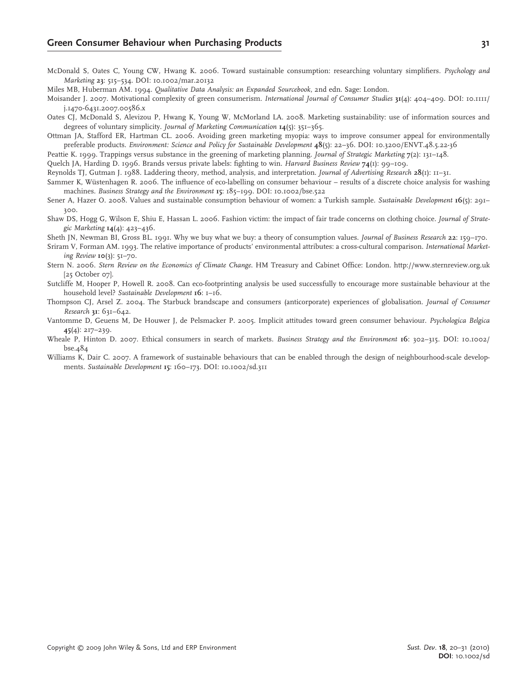McDonald S, Oates C, Young CW, Hwang K. 2006. Toward sustainable consumption: researching voluntary simplifiers. *Psychology and Marketing* **23**: 515–534. DOI: 10.1002/mar.20132

Miles MB, Huberman AM. 1994. *Qualitative Data Analysis: an Expanded Sourcebook*, 2nd edn. Sage: London.

- Moisander J. 2007. Motivational complexity of green consumerism. *International Journal of Consumer Studies* **31**(4): 404–409. DOI: 10.1111/ j.1470-6431.2007.00586.x
- Oates CJ, McDonald S, Alevizou P, Hwang K, Young W, McMorland LA. 2008. Marketing sustainability: use of information sources and degrees of voluntary simplicity. *Journal of Marketing Communication* **14**(5): 351–365.

Ottman JA, Stafford ER, Hartman CL. 2006. Avoiding green marketing myopia: ways to improve consumer appeal for environmentally preferable products. *Environment: Science and Policy for Sustainable Development* **48**(5): 22–36. DOI: 10.3200/ENVT.48.5.22-36

Peattie K. 1999. Trappings versus substance in the greening of marketing planning. *Journal of Strategic Marketing* **7**(2): 131–148.

Quelch JA, Harding D. 1996. Brands versus private labels: fighting to win. *Harvard Business Review* 74(1): 99–109.

Reynolds TJ, Gutman J. 1988. Laddering theory, method, analysis, and interpretation. *Journal of Advertising Research* **28**(1): 11–31.

- Sammer K, Wüstenhagen R. 2006. The influence of eco-labelling on consumer behaviour results of a discrete choice analysis for washing machines. *Business Strategy and the Environment* **15**: 185–199. DOI: 10.1002/bse.522
- Sener A, Hazer O. 2008. Values and sustainable consumption behaviour of women: a Turkish sample. *Sustainable Development* **16**(5): 291– 300.
- Shaw DS, Hogg G, Wilson E, Shiu E, Hassan L. 2006. Fashion victim: the impact of fair trade concerns on clothing choice. *Journal of Strategic Marketing* **14**(4): 423–436.

Sheth JN, Newman BI, Gross BL. 1991. Why we buy what we buy: a theory of consumption values. *Journal of Business Research* **22**: 159–170.

- Sriram V, Forman AM. 1993. The relative importance of products' environmental attributes: a cross-cultural comparison. *International Marketing Review* **10**(3): 51–70.
- Stern N. 2006. Stern Review on the Economics of Climate Change. HM Treasury and Cabinet Office: London. http://www.sternreview.org.uk [25 October 07].
- Sutcliffe M, Hooper P, Howell R. 2008. Can eco-footprinting analysis be used successfully to encourage more sustainable behaviour at the household level? *Sustainable Development* **16**: 1–16.
- Thompson CJ, Arsel Z. 2004. The Starbuck brandscape and consumers (anticorporate) experiences of globalisation. *Journal of Consumer Research* **31**: 631–642.
- Vantomme D, Geuens M, De Houwer J, de Pelsmacker P. 2005. Implicit attitudes toward green consumer behaviour. *Psychologica Belgica* **45**(4): 217–239.
- Wheale P, Hinton D. 2007. Ethical consumers in search of markets. *Business Strategy and the Environment* **16**: 302–315. DOI: 10.1002/ bse.484
- Williams K, Dair C. 2007. A framework of sustainable behaviours that can be enabled through the design of neighbourhood-scale developments. *Sustainable Development* **15**: 160–173. DOI: 10.1002/sd.311